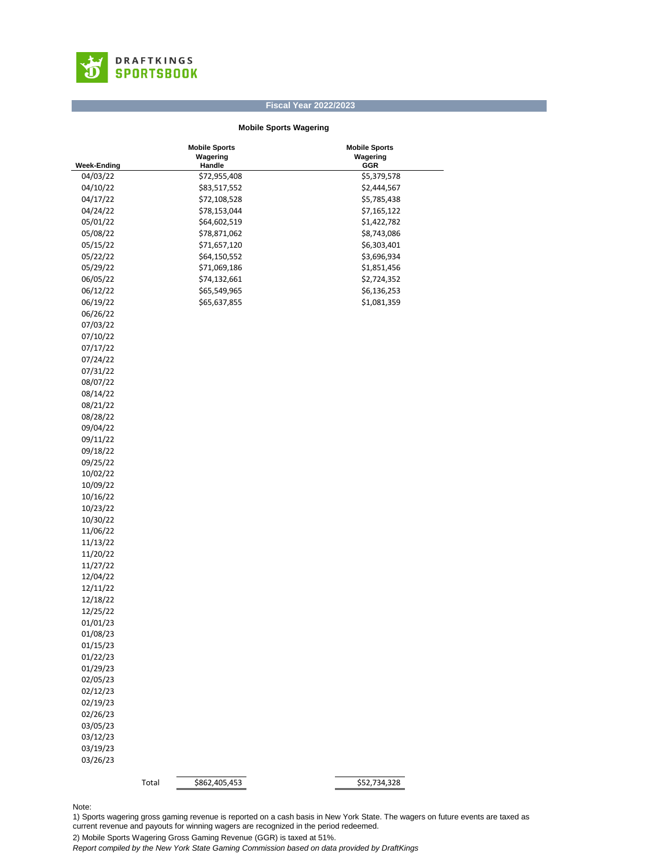

## **Fiscal Year 2022/2023**

## **Mobile Sports Wagering**

|                    |       | <b>Mobile Sports</b> | <b>Mobile Sports</b> |  |
|--------------------|-------|----------------------|----------------------|--|
|                    |       | Wagering             | Wagering             |  |
| <b>Week-Ending</b> |       | Handle               | GGR                  |  |
| 04/03/22           |       | \$72,955,408         | \$5,379,578          |  |
| 04/10/22           |       | \$83,517,552         | \$2,444,567          |  |
| 04/17/22           |       | \$72,108,528         | \$5,785,438          |  |
| 04/24/22           |       | \$78,153,044         | \$7,165,122          |  |
| 05/01/22           |       | \$64,602,519         | \$1,422,782          |  |
| 05/08/22           |       | \$78,871,062         | \$8,743,086          |  |
| 05/15/22           |       | \$71,657,120         | \$6,303,401          |  |
| 05/22/22           |       | \$64,150,552         | \$3,696,934          |  |
| 05/29/22           |       | \$71,069,186         | \$1,851,456          |  |
| 06/05/22           |       | \$74,132,661         | \$2,724,352          |  |
| 06/12/22           |       | \$65,549,965         | \$6,136,253          |  |
| 06/19/22           |       | \$65,637,855         | \$1,081,359          |  |
| 06/26/22           |       |                      |                      |  |
| 07/03/22           |       |                      |                      |  |
| 07/10/22           |       |                      |                      |  |
| 07/17/22           |       |                      |                      |  |
|                    |       |                      |                      |  |
| 07/24/22           |       |                      |                      |  |
| 07/31/22           |       |                      |                      |  |
| 08/07/22           |       |                      |                      |  |
| 08/14/22           |       |                      |                      |  |
| 08/21/22           |       |                      |                      |  |
| 08/28/22           |       |                      |                      |  |
| 09/04/22           |       |                      |                      |  |
| 09/11/22           |       |                      |                      |  |
| 09/18/22           |       |                      |                      |  |
| 09/25/22           |       |                      |                      |  |
| 10/02/22           |       |                      |                      |  |
| 10/09/22           |       |                      |                      |  |
| 10/16/22           |       |                      |                      |  |
| 10/23/22           |       |                      |                      |  |
| 10/30/22           |       |                      |                      |  |
| 11/06/22           |       |                      |                      |  |
| 11/13/22           |       |                      |                      |  |
| 11/20/22           |       |                      |                      |  |
| 11/27/22           |       |                      |                      |  |
| 12/04/22           |       |                      |                      |  |
| 12/11/22           |       |                      |                      |  |
| 12/18/22           |       |                      |                      |  |
| 12/25/22           |       |                      |                      |  |
| 01/01/23           |       |                      |                      |  |
| 01/08/23           |       |                      |                      |  |
| 01/15/23           |       |                      |                      |  |
|                    |       |                      |                      |  |
| 01/22/23           |       |                      |                      |  |
| 01/29/23           |       |                      |                      |  |
| 02/05/23           |       |                      |                      |  |
| 02/12/23           |       |                      |                      |  |
| 02/19/23           |       |                      |                      |  |
| 02/26/23           |       |                      |                      |  |
| 03/05/23           |       |                      |                      |  |
| 03/12/23           |       |                      |                      |  |
| 03/19/23           |       |                      |                      |  |
| 03/26/23           |       |                      |                      |  |
|                    |       |                      |                      |  |
|                    | Total | \$862,405,453        | \$52,734,328         |  |

Note:

1) Sports wagering gross gaming revenue is reported on a cash basis in New York State. The wagers on future events are taxed as current revenue and payouts for winning wagers are recognized in the period redeemed.

2) Mobile Sports Wagering Gross Gaming Revenue (GGR) is taxed at 51%.

*Report compiled by the New York State Gaming Commission based on data provided by DraftKings*